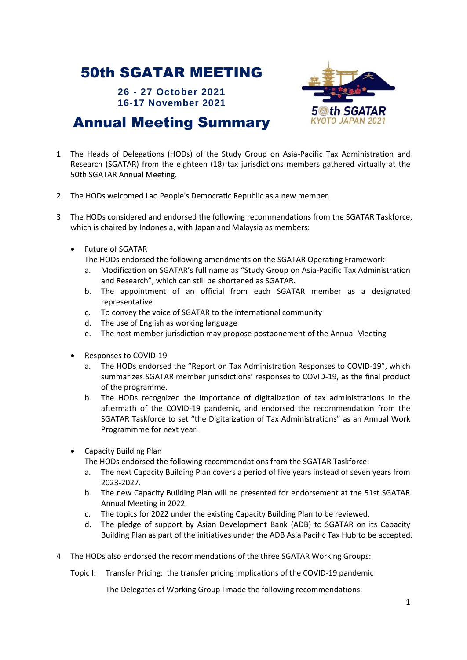## 50th SGATAR MEETING

**26 - 27 October 2021 16-17 November 2021**



## Annual Meeting Summary

- 1 The Heads of Delegations (HODs) of the Study Group on Asia-Pacific Tax Administration and Research (SGATAR) from the eighteen (18) tax jurisdictions members gathered virtually at the 50th SGATAR Annual Meeting.
- 2 The HODs welcomed Lao People's Democratic Republic as a new member.
- 3 The HODs considered and endorsed the following recommendations from the SGATAR Taskforce, which is chaired by Indonesia, with Japan and Malaysia as members:
	- Future of SGATAR
		- The HODs endorsed the following amendments on the SGATAR Operating Framework
		- a. Modification on SGATAR's full name as "Study Group on Asia-Pacific Tax Administration and Research", which can still be shortened as SGATAR.
		- b. The appointment of an official from each SGATAR member as a designated representative
		- c. To convey the voice of SGATAR to the international community
		- d. The use of English as working language
		- e. The host member jurisdiction may propose postponement of the Annual Meeting
	- Responses to COVID-19
		- a. The HODs endorsed the "Report on Tax Administration Responses to COVID-19", which summarizes SGATAR member jurisdictions' responses to COVID-19, as the final product of the programme.
		- b. The HODs recognized the importance of digitalization of tax administrations in the aftermath of the COVID-19 pandemic, and endorsed the recommendation from the SGATAR Taskforce to set "the Digitalization of Tax Administrations" as an Annual Work Programmme for next year.
	- Capacity Building Plan

The HODs endorsed the following recommendations from the SGATAR Taskforce:

- a. The next Capacity Building Plan covers a period of five years instead of seven years from 2023-2027.
- b. The new Capacity Building Plan will be presented for endorsement at the 51st SGATAR Annual Meeting in 2022.
- c. The topics for 2022 under the existing Capacity Building Plan to be reviewed.
- d. The pledge of support by Asian Development Bank (ADB) to SGATAR on its Capacity Building Plan as part of the initiatives under the ADB Asia Pacific Tax Hub to be accepted.
- 4 The HODs also endorsed the recommendations of the three SGATAR Working Groups:

Topic I: Transfer Pricing: the transfer pricing implications of the COVID-19 pandemic

The Delegates of Working Group I made the following recommendations: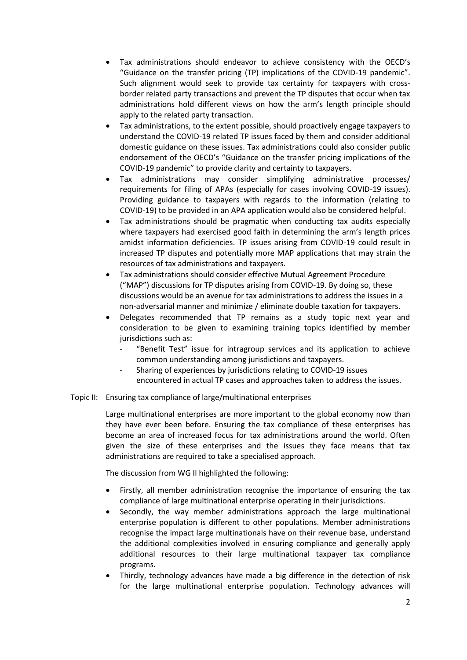- Tax administrations should endeavor to achieve consistency with the OECD's "Guidance on the transfer pricing (TP) implications of the COVID-19 pandemic". Such alignment would seek to provide tax certainty for taxpayers with crossborder related party transactions and prevent the TP disputes that occur when tax administrations hold different views on how the arm's length principle should apply to the related party transaction.
- Tax administrations, to the extent possible, should proactively engage taxpayers to understand the COVID-19 related TP issues faced by them and consider additional domestic guidance on these issues. Tax administrations could also consider public endorsement of the OECD's "Guidance on the transfer pricing implications of the COVID-19 pandemic" to provide clarity and certainty to taxpayers.
- Tax administrations may consider simplifying administrative processes/ requirements for filing of APAs (especially for cases involving COVID-19 issues). Providing guidance to taxpayers with regards to the information (relating to COVID-19) to be provided in an APA application would also be considered helpful.
- Tax administrations should be pragmatic when conducting tax audits especially where taxpayers had exercised good faith in determining the arm's length prices amidst information deficiencies. TP issues arising from COVID-19 could result in increased TP disputes and potentially more MAP applications that may strain the resources of tax administrations and taxpayers.
- Tax administrations should consider effective Mutual Agreement Procedure ("MAP") discussions for TP disputes arising from COVID-19. By doing so, these discussions would be an avenue for tax administrations to address the issues in a non-adversarial manner and minimize / eliminate double taxation for taxpayers.
- Delegates recommended that TP remains as a study topic next year and consideration to be given to examining training topics identified by member jurisdictions such as:
	- "Benefit Test" issue for intragroup services and its application to achieve common understanding among jurisdictions and taxpayers.
	- Sharing of experiences by jurisdictions relating to COVID-19 issues encountered in actual TP cases and approaches taken to address the issues.

## Topic II: Ensuring tax compliance of large/multinational enterprises

Large multinational enterprises are more important to the global economy now than they have ever been before. Ensuring the tax compliance of these enterprises has become an area of increased focus for tax administrations around the world. Often given the size of these enterprises and the issues they face means that tax administrations are required to take a specialised approach.

The discussion from WG II highlighted the following:

- Firstly, all member administration recognise the importance of ensuring the tax compliance of large multinational enterprise operating in their jurisdictions.
- Secondly, the way member administrations approach the large multinational enterprise population is different to other populations. Member administrations recognise the impact large multinationals have on their revenue base, understand the additional complexities involved in ensuring compliance and generally apply additional resources to their large multinational taxpayer tax compliance programs.
- Thirdly, technology advances have made a big difference in the detection of risk for the large multinational enterprise population. Technology advances will